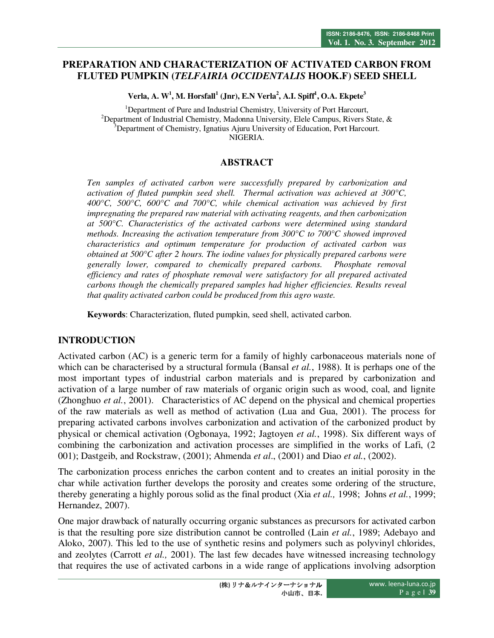# **PREPARATION AND CHARACTERIZATION OF ACTIVATED CARBON FROM FLUTED PUMPKIN (***TELFAIRIA OCCIDENTALIS* **HOOK.F) SEED SHELL**

**Verla, A. W<sup>1</sup> , M. Horsfall<sup>1</sup> (Jnr), E.N Verla<sup>2</sup> , A.I. Spiff<sup>1</sup> , O.A. Ekpete<sup>3</sup>**

<sup>1</sup>Department of Pure and Industrial Chemistry, University of Port Harcourt, <sup>2</sup>Department of Industrial Chemistry, Madonna University, Elele Campus, Rivers State,  $\&$ <sup>3</sup>Department of Chemistry, Ignatius Ajuru University of Education, Port Harcourt. NIGERIA.

#### **ABSTRACT**

*Ten samples of activated carbon were successfully prepared by carbonization and activation of fluted pumpkin seed shell. Thermal activation was achieved at 300°C, 400°C, 500°C, 600°C and 700°C, while chemical activation was achieved by first impregnating the prepared raw material with activating reagents, and then carbonization at 500°C. Characteristics of the activated carbons were determined using standard methods. Increasing the activation temperature from 300* $^{\circ}$ *C to 700* $^{\circ}$ *C showed improved characteristics and optimum temperature for production of activated carbon was obtained at 500°C after 2 hours. The iodine values for physically prepared carbons were generally lower, compared to chemically prepared carbons. Phosphate removal efficiency and rates of phosphate removal were satisfactory for all prepared activated carbons though the chemically prepared samples had higher efficiencies. Results reveal that quality activated carbon could be produced from this agro waste.* 

**Keywords**: Characterization, fluted pumpkin, seed shell, activated carbon.

# **INTRODUCTION**

Activated carbon (AC) is a generic term for a family of highly carbonaceous materials none of which can be characterised by a structural formula (Bansal *et al.*, 1988). It is perhaps one of the most important types of industrial carbon materials and is prepared by carbonization and activation of a large number of raw materials of organic origin such as wood, coal, and lignite (Zhonghuo *et al.*, 2001). Characteristics of AC depend on the physical and chemical properties of the raw materials as well as method of activation (Lua and Gua, 2001). The process for preparing activated carbons involves carbonization and activation of the carbonized product by physical or chemical activation (Ogbonaya, 1992; Jagtoyen *et al.*, 1998). Six different ways of combining the carbonization and activation processes are simplified in the works of Lafi, (2 001); Dastgeib, and Rockstraw, (2001); Ahmenda *et al*., (2001) and Diao *et al.*, (2002).

The carbonization process enriches the carbon content and to creates an initial porosity in the char while activation further develops the porosity and creates some ordering of the structure, thereby generating a highly porous solid as the final product (Xia *et al.,* 1998; Johns *et al.*, 1999; Hernandez, 2007).

One major drawback of naturally occurring organic substances as precursors for activated carbon is that the resulting pore size distribution cannot be controlled (Lain *et al.*, 1989; Adebayo and Aloko, 2007). This led to the use of synthetic resins and polymers such as polyvinyl chlorides, and zeolytes (Carrott *et al.,* 2001). The last few decades have witnessed increasing technology that requires the use of activated carbons in a wide range of applications involving adsorption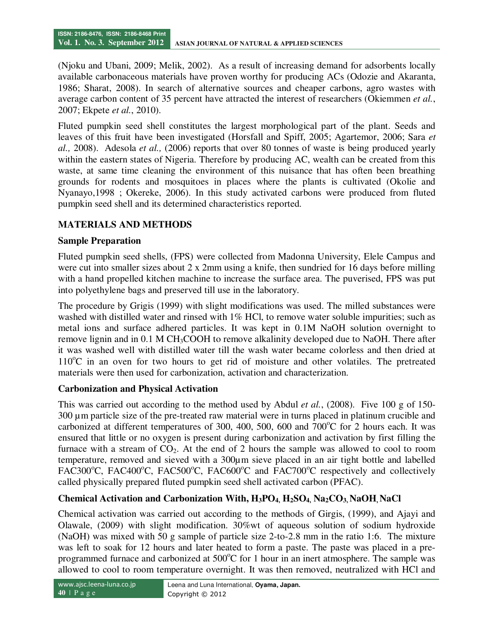(Njoku and Ubani, 2009; Melik, 2002). As a result of increasing demand for adsorbents locally available carbonaceous materials have proven worthy for producing ACs (Odozie and Akaranta, 1986; Sharat, 2008). In search of alternative sources and cheaper carbons, agro wastes with average carbon content of 35 percent have attracted the interest of researchers (Okiemmen *et al.*, 2007; Ekpete *et al.*, 2010).

Fluted pumpkin seed shell constitutes the largest morphological part of the plant. Seeds and leaves of this fruit have been investigated (Horsfall and Spiff, 2005; Agartemor, 2006; Sara *et al.,* 2008). Adesola *et al.,* (2006) reports that over 80 tonnes of waste is being produced yearly within the eastern states of Nigeria. Therefore by producing AC, wealth can be created from this waste, at same time cleaning the environment of this nuisance that has often been breathing grounds for rodents and mosquitoes in places where the plants is cultivated (Okolie and Nyanayo,1998 ; Okereke, 2006). In this study activated carbons were produced from fluted pumpkin seed shell and its determined characteristics reported.

# **MATERIALS AND METHODS**

#### **Sample Preparation**

Fluted pumpkin seed shells, (FPS) were collected from Madonna University, Elele Campus and were cut into smaller sizes about 2 x 2mm using a knife, then sundried for 16 days before milling with a hand propelled kitchen machine to increase the surface area. The puverised, FPS was put into polyethylene bags and preserved till use in the laboratory.

The procedure by Grigis (1999) with slight modifications was used. The milled substances were washed with distilled water and rinsed with 1% HCl, to remove water soluble impurities; such as metal ions and surface adhered particles. It was kept in 0.1M NaOH solution overnight to remove lignin and in 0.1 M CH3COOH to remove alkalinity developed due to NaOH. There after it was washed well with distilled water till the wash water became colorless and then dried at  $110^{\circ}$ C in an oven for two hours to get rid of moisture and other volatiles. The pretreated materials were then used for carbonization, activation and characterization.

# **Carbonization and Physical Activation**

This was carried out according to the method used by Abdul *et al.*, (2008). Five 100 g of 150- 300 µm particle size of the pre-treated raw material were in turns placed in platinum crucible and carbonized at different temperatures of 300, 400, 500, 600 and  $700^{\circ}$ C for 2 hours each. It was ensured that little or no oxygen is present during carbonization and activation by first filling the furnace with a stream of  $CO<sub>2</sub>$ . At the end of 2 hours the sample was allowed to cool to room temperature, removed and sieved with a 300µm sieve placed in an air tight bottle and labelled FAC300 $^{\circ}$ C, FAC400 $^{\circ}$ C, FAC500 $^{\circ}$ C, FAC600 $^{\circ}$ C and FAC700 $^{\circ}$ C respectively and collectively called physically prepared fluted pumpkin seed shell activated carbon (PFAC).

# **Chemical Activation and Carbonization With, H3PO4, H2SO4, Na2CO3, NaOH, NaCl**

Chemical activation was carried out according to the methods of Girgis, (1999), and Ajayi and Olawale, (2009) with slight modification. 30%wt of aqueous solution of sodium hydroxide (NaOH) was mixed with 50 g sample of particle size 2-to-2.8 mm in the ratio 1:6. The mixture was left to soak for 12 hours and later heated to form a paste. The paste was placed in a preprogrammed furnace and carbonized at  $500^{\circ}$ C for 1 hour in an inert atmosphere. The sample was allowed to cool to room temperature overnight. It was then removed, neutralized with HCl and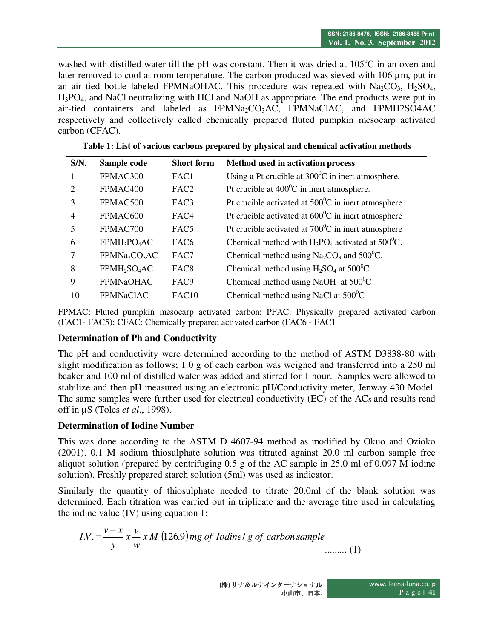washed with distilled water till the pH was constant. Then it was dried at  $105^{\circ}$ C in an oven and later removed to cool at room temperature. The carbon produced was sieved with 106 µm, put in an air tied bottle labeled FPMNaOHAC. This procedure was repeated with  $Na<sub>2</sub>CO<sub>3</sub>$ ,  $H<sub>2</sub>SO<sub>4</sub>$ , H3PO4, and NaCl neutralizing with HCl and NaOH as appropriate. The end products were put in air-tied containers and labeled as FPMNa2CO3AC, FPMNaClAC, and FPMH2SO4AC respectively and collectively called chemically prepared fluted pumpkin mesocarp activated carbon (CFAC).

| $S/N$ .                     | Sample code                           | <b>Short form</b> | Method used in activation process                               |
|-----------------------------|---------------------------------------|-------------------|-----------------------------------------------------------------|
| 1                           | FPMAC300                              | FAC1              | Using a Pt crucible at $300^{\circ}$ C in inert atmosphere.     |
| $\mathcal{D}_{\mathcal{L}}$ | FPMAC400                              | FAC <sub>2</sub>  | Pt crucible at $400^{\circ}$ C in inert atmosphere.             |
| 3                           | FPMAC500                              | FAC3              | Pt crucible activated at $500^{\circ}$ C in inert atmosphere    |
| $\overline{4}$              | FPMAC600                              | FAC <sub>4</sub>  | Pt crucible activated at $600^{\circ}$ C in inert atmosphere    |
| 5                           | FPMAC700                              | FAC <sub>5</sub>  | Pt crucible activated at $700^{\circ}$ C in inert atmosphere    |
| 6                           | FPMH <sub>3</sub> PO <sub>4</sub> AC  | FAC <sub>6</sub>  | Chemical method with $H_3PO_4$ activated at 500 <sup>°</sup> C. |
| 7                           | FPMNa <sub>2</sub> CO <sub>3</sub> AC | FAC7              | Chemical method using $Na2CO3$ and 500 <sup>°</sup> C.          |
| 8                           | FPMH <sub>2</sub> SO <sub>4</sub> AC  | FAC <sub>8</sub>  | Chemical method using $H_2SO_4$ at 500 <sup>0</sup> C           |
| 9                           | <b>FPMNaOHAC</b>                      | FAC <sub>9</sub>  | Chemical method using NaOH at $500^{\circ}$ C                   |
| 10                          | <b>FPMNaCIAC</b>                      | FAC10             | Chemical method using NaCl at $500^{\circ}$ C                   |

**Table 1: List of various carbons prepared by physical and chemical activation methods** 

FPMAC: Fluted pumpkin mesocarp activated carbon; PFAC: Physically prepared activated carbon (FAC1- FAC5); CFAC: Chemically prepared activated carbon (FAC6 - FAC1

#### **Determination of Ph and Conductivity**

The pH and conductivity were determined according to the method of ASTM D3838-80 with slight modification as follows; 1.0 g of each carbon was weighed and transferred into a 250 ml beaker and 100 ml of distilled water was added and stirred for 1 hour. Samples were allowed to stabilize and then pH measured using an electronic pH/Conductivity meter, Jenway 430 Model. The same samples were further used for electrical conductivity  $(EC)$  of the  $AC<sub>S</sub>$  and results read off in µS (Toles *et al*., 1998).

#### **Determination of Iodine Number**

This was done according to the ASTM D 4607-94 method as modified by Okuo and Ozioko (2001). 0.1 M sodium thiosulphate solution was titrated against 20.0 ml carbon sample free aliquot solution (prepared by centrifuging 0.5 g of the AC sample in 25.0 ml of 0.097 M iodine solution). Freshly prepared starch solution (5ml) was used as indicator.

Similarly the quantity of thiosulphate needed to titrate 20.0ml of the blank solution was determined. Each titration was carried out in triplicate and the average titre used in calculating the iodine value (IV) using equation 1:

*IN* = 
$$
\frac{v - x}{y} x \frac{v}{w} x M
$$
 (126.9) *mg of Iodine l g of carbon sample* ......... (1)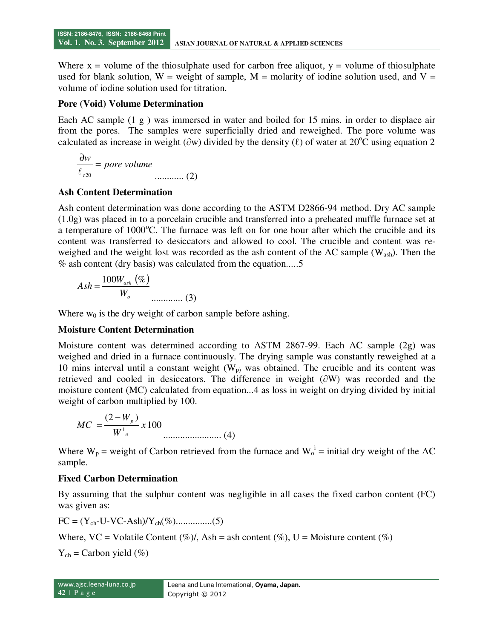Where  $x =$  volume of the thiosulphate used for carbon free aliquot,  $y =$  volume of thiosulphate used for blank solution,  $W =$  weight of sample,  $M =$  molarity of iodine solution used, and  $V =$ volume of iodine solution used for titration.

#### **Pore (Void) Volume Determination**

Each AC sample (1 g) was immersed in water and boiled for 15 mins. in order to displace air from the pores. The samples were superficially dried and reweighed. The pore volume was calculated as increase in weight ( $\partial w$ ) divided by the density ( $\ell$ ) of water at 20<sup>o</sup>C using equation 2

$$
\frac{\partial w}{\ell_{120}} = \text{pore volume}
$$
\n
$$
\dots \dots \dots \dots \dots (2)
$$

# **Ash Content Determination**

Ash content determination was done according to the ASTM D2866-94 method. Dry AC sample (1.0g) was placed in to a porcelain crucible and transferred into a preheated muffle furnace set at a temperature of  $1000^{\circ}$ C. The furnace was left on for one hour after which the crucible and its content was transferred to desiccators and allowed to cool. The crucible and content was reweighed and the weight lost was recorded as the ash content of the AC sample  $(W_{ash})$ . Then the % ash content (dry basis) was calculated from the equation.....5

$$
Ash = \frac{100W_{ash} (%)}{W_o}
$$
........(3)

Where  $w_0$  is the dry weight of carbon sample before ashing.

# **Moisture Content Determination**

Moisture content was determined according to ASTM 2867-99. Each AC sample (2g) was weighed and dried in a furnace continuously. The drying sample was constantly reweighed at a 10 mins interval until a constant weight  $(W_p)$  was obtained. The crucible and its content was retrieved and cooled in desiccators. The difference in weight (∂W) was recorded and the moisture content (MC) calculated from equation...4 as loss in weight on drying divided by initial weight of carbon multiplied by 100.

$$
MC = \frac{(2 - W_p)}{W_{o}^{1}} \times 100
$$
............ (4)

Where  $W_p$  = weight of Carbon retrieved from the furnace and  $W_o^i$  = initial dry weight of the AC sample.

# **Fixed Carbon Determination**

By assuming that the sulphur content was negligible in all cases the fixed carbon content (FC) was given as:

FC = (Ych-U-VC-Ash)/Ych(%)...............(5)

Where,  $VC = Volatile Content (\%)$ , Ash = ash content (%),  $U = Moisture content (\%)$ 

 $Y_{ch}$  = Carbon yield (%)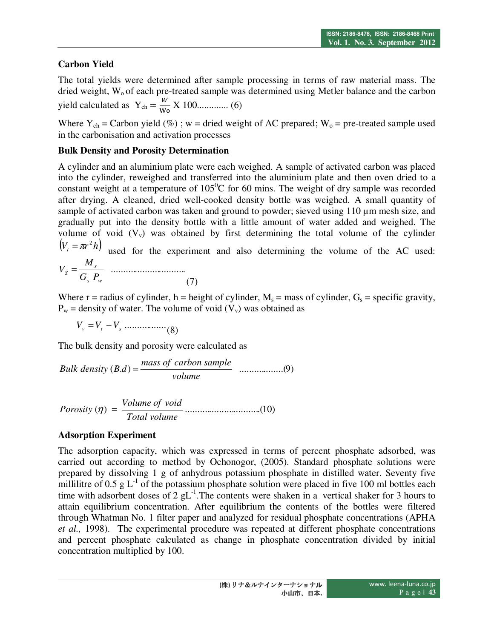# **Carbon Yield**

The total yields were determined after sample processing in terms of raw material mass. The dried weight, W<sub>o</sub> of each pre-treated sample was determined using Metler balance and the carbon yield calculated as Ych = - X 100............. (6)

Where  $Y_{ch}$  = Carbon yield (%); w = dried weight of AC prepared;  $W_0$  = pre-treated sample used in the carbonisation and activation processes

#### **Bulk Density and Porosity Determination**

A cylinder and an aluminium plate were each weighed. A sample of activated carbon was placed into the cylinder, reweighed and transferred into the aluminium plate and then oven dried to a constant weight at a temperature of  $105^{\circ}$ C for 60 mins. The weight of dry sample was recorded after drying. A cleaned, dried well-cooked density bottle was weighed. A small quantity of sample of activated carbon was taken and ground to powder; sieved using 110  $\mu$ m mesh size, and gradually put into the density bottle with a little amount of water added and weighed. The volume of void  $(V_v)$  was obtained by first determining the total volume of the cylinder  $(V_t = \pi r^2 h)$  used for the experiment and also determining the volume of the AC used: ............................... *s*  $S = G_s P$ *M*  $V_{S} =$ 

(7) Where  $r =$  radius of cylinder,  $h =$  height of cylinder,  $M_s =$  mass of cylinder,  $G_s =$  specific gravity,  $P_w$  = density of water. The volume of void  $(V_v)$  was obtained as

 $V_v = V_t - V_s$  (8)

*s w*

The bulk density and porosity were calculated as

*Bulk density* (*B.d*) = 
$$
\frac{mass \ of \ carbon \ sample}{volume}
$$
 ....... (9)

$$
Porosity (\eta) = \frac{Volume \ of \ void}{Total \ volume}
$$
.................(10)

# **Adsorption Experiment**

The adsorption capacity, which was expressed in terms of percent phosphate adsorbed, was carried out according to method by Ochonogor, (2005). Standard phosphate solutions were prepared by dissolving 1 g of anhydrous potassium phosphate in distilled water. Seventy five millilitre of  $0.5 \text{ g L}^{-1}$  of the potassium phosphate solution were placed in five 100 ml bottles each time with adsorbent doses of 2 gL<sup>-1</sup>. The contents were shaken in a vertical shaker for 3 hours to attain equilibrium concentration. After equilibrium the contents of the bottles were filtered through Whatman No. 1 filter paper and analyzed for residual phosphate concentrations (APHA *et al.,* 1998). The experimental procedure was repeated at different phosphate concentrations and percent phosphate calculated as change in phosphate concentration divided by initial concentration multiplied by 100.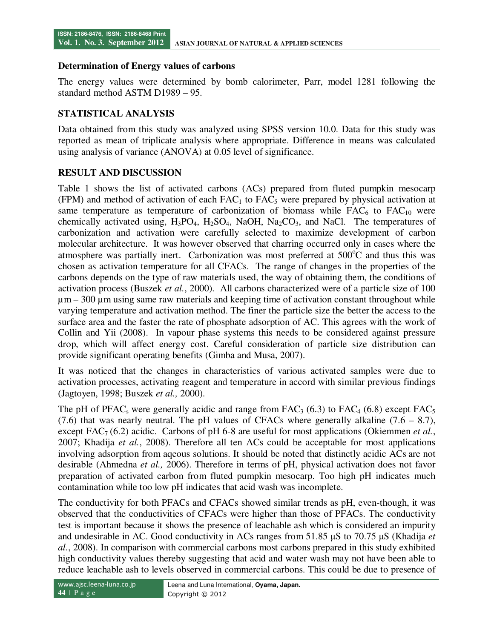#### **Determination of Energy values of carbons**

The energy values were determined by bomb calorimeter, Parr, model 1281 following the standard method ASTM D1989 – 95.

#### **STATISTICAL ANALYSIS**

Data obtained from this study was analyzed using SPSS version 10.0. Data for this study was reported as mean of triplicate analysis where appropriate. Difference in means was calculated using analysis of variance (ANOVA) at 0.05 level of significance.

#### **RESULT AND DISCUSSION**

Table 1 shows the list of activated carbons (ACs) prepared from fluted pumpkin mesocarp (FPM) and method of activation of each  $FAC_1$  to  $FAC_5$  were prepared by physical activation at same temperature as temperature of carbonization of biomass while  $FAC_6$  to  $FAC_{10}$  were chemically activated using,  $H_3PO_4$ ,  $H_2SO_4$ , NaOH, Na<sub>2</sub>CO<sub>3</sub>, and NaCl. The temperatures of carbonization and activation were carefully selected to maximize development of carbon molecular architecture. It was however observed that charring occurred only in cases where the atmosphere was partially inert. Carbonization was most preferred at  $500^{\circ}$ C and thus this was chosen as activation temperature for all CFACs. The range of changes in the properties of the carbons depends on the type of raw materials used, the way of obtaining them, the conditions of activation process (Buszek *et al.*, 2000). All carbons characterized were of a particle size of 100  $\mu$ m – 300  $\mu$ m using same raw materials and keeping time of activation constant throughout while varying temperature and activation method. The finer the particle size the better the access to the surface area and the faster the rate of phosphate adsorption of AC. This agrees with the work of Collin and Yii (2008). In vapour phase systems this needs to be considered against pressure drop, which will affect energy cost. Careful consideration of particle size distribution can provide significant operating benefits (Gimba and Musa, 2007).

It was noticed that the changes in characteristics of various activated samples were due to activation processes, activating reagent and temperature in accord with similar previous findings (Jagtoyen, 1998; Buszek *et al.,* 2000).

The pH of PFAC<sub>s</sub> were generally acidic and range from FAC<sub>3</sub> (6.3) to FAC<sub>4</sub> (6.8) except FAC<sub>5</sub> (7.6) that was nearly neutral. The pH values of CFACs where generally alkaline  $(7.6 - 8.7)$ , except FAC<sub>7</sub> (6.2) acidic. Carbons of pH 6-8 are useful for most applications (Okiemmen *et al.*, 2007; Khadija *et al.*, 2008). Therefore all ten ACs could be acceptable for most applications involving adsorption from aqeous solutions. It should be noted that distinctly acidic ACs are not desirable (Ahmedna *et al.,* 2006). Therefore in terms of pH, physical activation does not favor preparation of activated carbon from fluted pumpkin mesocarp. Too high pH indicates much contamination while too low pH indicates that acid wash was incomplete.

The conductivity for both PFACs and CFACs showed similar trends as pH, even-though, it was observed that the conductivities of CFACs were higher than those of PFACs. The conductivity test is important because it shows the presence of leachable ash which is considered an impurity and undesirable in AC. Good conductivity in ACs ranges from 51.85 µS to 70.75 µS (Khadija *et al.*, 2008). In comparison with commercial carbons most carbons prepared in this study exhibited high conductivity values thereby suggesting that acid and water wash may not have been able to reduce leachable ash to levels observed in commercial carbons. This could be due to presence of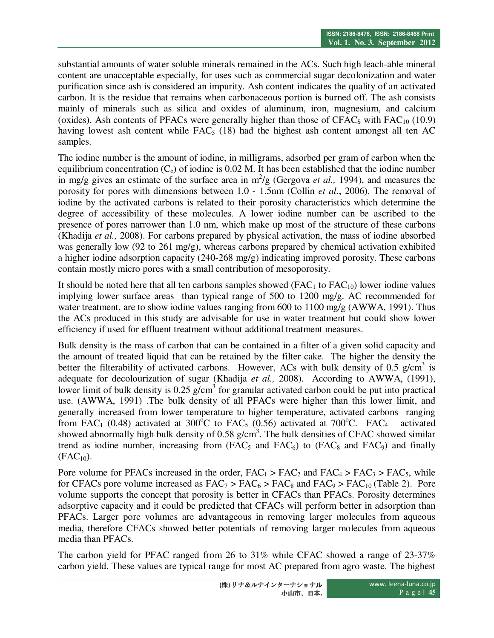substantial amounts of water soluble minerals remained in the ACs. Such high leach-able mineral content are unacceptable especially, for uses such as commercial sugar decolonization and water purification since ash is considered an impurity. Ash content indicates the quality of an activated carbon. It is the residue that remains when carbonaceous portion is burned off. The ash consists mainly of minerals such as silica and oxides of aluminum, iron, magnesium, and calcium (oxides). Ash contents of PFACs were generally higher than those of  $CFAC<sub>S</sub>$  with  $FAC<sub>10</sub>$  (10.9) having lowest ash content while  $FAC<sub>5</sub>$  (18) had the highest ash content amongst all ten AC samples.

The iodine number is the amount of iodine, in milligrams, adsorbed per gram of carbon when the equilibrium concentration  $(C_e)$  of iodine is 0.02 M. It has been established that the iodine number in mg/g gives an estimate of the surface area in  $m^2/g$  (Gergova *et al.*, 1994), and measures the porosity for pores with dimensions between 1.0 - 1.5nm (Collin *et al.*, 2006). The removal of iodine by the activated carbons is related to their porosity characteristics which determine the degree of accessibility of these molecules. A lower iodine number can be ascribed to the presence of pores narrower than 1.0 nm, which make up most of the structure of these carbons (Khadija *et al.,* 2008). For carbons prepared by physical activation, the mass of iodine absorbed was generally low (92 to 261 mg/g), whereas carbons prepared by chemical activation exhibited a higher iodine adsorption capacity (240-268 mg/g) indicating improved porosity. These carbons contain mostly micro pores with a small contribution of mesoporosity.

It should be noted here that all ten carbons samples showed  $(FAC<sub>1</sub>$  to  $FAC<sub>10</sub>$ ) lower iodine values implying lower surface areas than typical range of 500 to 1200 mg/g. AC recommended for water treatment, are to show iodine values ranging from 600 to 1100 mg/g (AWWA, 1991). Thus the ACs produced in this study are advisable for use in water treatment but could show lower efficiency if used for effluent treatment without additional treatment measures.

Bulk density is the mass of carbon that can be contained in a filter of a given solid capacity and the amount of treated liquid that can be retained by the filter cake. The higher the density the better the filterability of activated carbons. However, ACs with bulk density of 0.5  $g/cm<sup>3</sup>$  is adequate for decolourization of sugar (Khadija *et al.,* 2008). According to AWWA, (1991), lower limit of bulk density is  $0.25$  g/cm<sup>3</sup> for granular activated carbon could be put into practical use. (AWWA, 1991) .The bulk density of all PFACs were higher than this lower limit, and generally increased from lower temperature to higher temperature, activated carbons ranging from FAC<sub>1</sub> (0.48) activated at 300<sup>o</sup>C to FAC<sub>5</sub> (0.56) activated at 700<sup>o</sup>C. FAC<sub>4</sub> activated showed abnormally high bulk density of  $0.58$  g/cm<sup>3</sup>. The bulk densities of CFAC showed similar trend as iodine number, increasing from  $(FAC_5$  and  $FAC_6$ ) to  $(FAC_8$  and  $FAC_9$ ) and finally  $(FAC<sub>10</sub>)$ .

Pore volume for PFACs increased in the order,  $FAC_1 > FAC_2$  and  $FAC_4 > FAC_3 > FAC_5$ , while for CFACs pore volume increased as  $FAC_7 > FAC_6 > FAC_8$  and  $FAC_9 > FAC_{10}$  (Table 2). Pore volume supports the concept that porosity is better in CFACs than PFACs. Porosity determines adsorptive capacity and it could be predicted that CFACs will perform better in adsorption than PFACs. Larger pore volumes are advantageous in removing larger molecules from aqueous media, therefore CFACs showed better potentials of removing larger molecules from aqueous media than PFACs.

The carbon yield for PFAC ranged from 26 to 31% while CFAC showed a range of 23-37% carbon yield. These values are typical range for most AC prepared from agro waste. The highest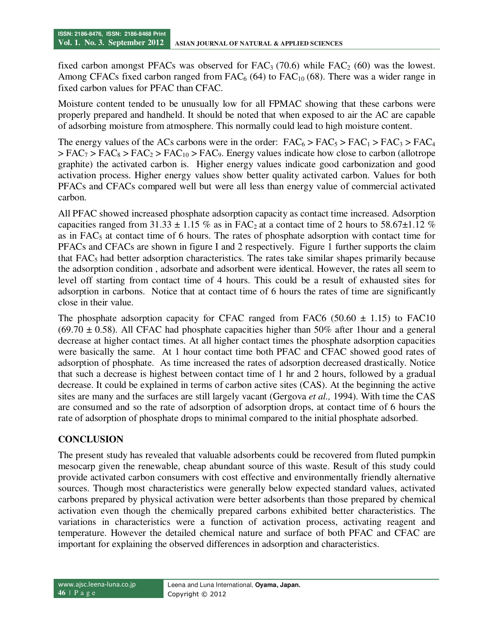fixed carbon amongst PFACs was observed for  $FAC_3$  (70.6) while  $FAC_2$  (60) was the lowest. Among CFACs fixed carbon ranged from  $FAC_6$  (64) to  $FAC_{10}$  (68). There was a wider range in fixed carbon values for PFAC than CFAC.

Moisture content tended to be unusually low for all FPMAC showing that these carbons were properly prepared and handheld. It should be noted that when exposed to air the AC are capable of adsorbing moisture from atmosphere. This normally could lead to high moisture content.

The energy values of the ACs carbons were in the order:  $FAC_6 > FAC_5 > FAC_1 > FAC_3 > FAC_4$  $>$  FAC<sub>7</sub>  $>$  FAC<sub>8</sub>  $>$  FAC<sub>2</sub>  $>$  FAC<sub>10</sub>  $>$  FAC<sub>9</sub>. Energy values indicate how close to carbon (allotrope graphite) the activated carbon is. Higher energy values indicate good carbonization and good activation process. Higher energy values show better quality activated carbon. Values for both PFACs and CFACs compared well but were all less than energy value of commercial activated carbon.

All PFAC showed increased phosphate adsorption capacity as contact time increased. Adsorption capacities ranged from 31.33  $\pm$  1.15 % as in FAC<sub>2</sub> at a contact time of 2 hours to 58.67 $\pm$ 1.12 % as in  $FAC<sub>5</sub>$  at contact time of 6 hours. The rates of phosphate adsorption with contact time for PFACs and CFACs are shown in figure I and 2 respectively. Figure 1 further supports the claim that  $FAC<sub>5</sub>$  had better adsorption characteristics. The rates take similar shapes primarily because the adsorption condition , adsorbate and adsorbent were identical. However, the rates all seem to level off starting from contact time of 4 hours. This could be a result of exhausted sites for adsorption in carbons. Notice that at contact time of 6 hours the rates of time are significantly close in their value.

The phosphate adsorption capacity for CFAC ranged from FAC6 (50.60  $\pm$  1.15) to FAC10  $(69.70 \pm 0.58)$ . All CFAC had phosphate capacities higher than 50% after 1 hour and a general decrease at higher contact times. At all higher contact times the phosphate adsorption capacities were basically the same. At 1 hour contact time both PFAC and CFAC showed good rates of adsorption of phosphate. As time increased the rates of adsorption decreased drastically. Notice that such a decrease is highest between contact time of 1 hr and 2 hours, followed by a gradual decrease. It could be explained in terms of carbon active sites (CAS). At the beginning the active sites are many and the surfaces are still largely vacant (Gergova *et al.,* 1994). With time the CAS are consumed and so the rate of adsorption of adsorption drops, at contact time of 6 hours the rate of adsorption of phosphate drops to minimal compared to the initial phosphate adsorbed.

# **CONCLUSION**

The present study has revealed that valuable adsorbents could be recovered from fluted pumpkin mesocarp given the renewable, cheap abundant source of this waste. Result of this study could provide activated carbon consumers with cost effective and environmentally friendly alternative sources. Though most characteristics were generally below expected standard values, activated carbons prepared by physical activation were better adsorbents than those prepared by chemical activation even though the chemically prepared carbons exhibited better characteristics. The variations in characteristics were a function of activation process, activating reagent and temperature. However the detailed chemical nature and surface of both PFAC and CFAC are important for explaining the observed differences in adsorption and characteristics.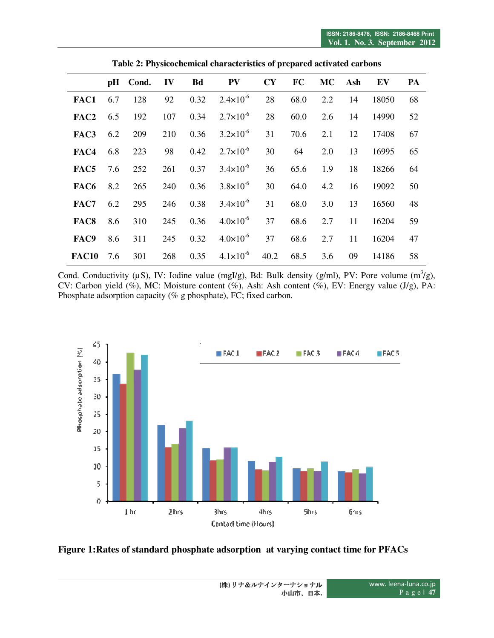|                   |     | pH Cond. | IV  | <b>Bd</b> | <b>PV</b>            | <b>CY</b> | FC   | MC \ | Ash | EV    | PA |
|-------------------|-----|----------|-----|-----------|----------------------|-----------|------|------|-----|-------|----|
| FAC1              | 6.7 | 128      | 92  | 0.32      | $2.4 \times 10^{-6}$ | 28        | 68.0 | 2.2  | 14  | 18050 | 68 |
| FAC <sub>2</sub>  | 6.5 | 192      | 107 | 0.34      | $2.7 \times 10^{-6}$ | 28        | 60.0 | 2.6  | 14  | 14990 | 52 |
| FAC3              | 6.2 | 209      | 210 | 0.36      | $3.2 \times 10^{-6}$ | 31        | 70.6 | 2.1  | 12  | 17408 | 67 |
| FAC4              | 6.8 | 223      | 98  | 0.42      | $2.7 \times 10^{-6}$ | 30        | 64   | 2.0  | 13  | 16995 | 65 |
| FAC5              | 7.6 | 252      | 261 | 0.37      | $3.4 \times 10^{-6}$ | 36        | 65.6 | 1.9  | 18  | 18266 | 64 |
| FAC6              | 8.2 | 265      | 240 | 0.36      | $3.8 \times 10^{-6}$ | 30        | 64.0 | 4.2  | 16  | 19092 | 50 |
| FAC7              | 6.2 | 295      | 246 | 0.38      | $3.4 \times 10^{-6}$ | 31        | 68.0 | 3.0  | 13  | 16560 | 48 |
| FAC8              | 8.6 | 310      | 245 | 0.36      | $4.0 \times 10^{-6}$ | 37        | 68.6 | 2.7  | 11  | 16204 | 59 |
| FAC9              | 8.6 | 311      | 245 | 0.32      | $4.0 \times 10^{-6}$ | 37        | 68.6 | 2.7  | 11  | 16204 | 47 |
| FAC <sub>10</sub> | 7.6 | 301      | 268 | 0.35      | $4.1 \times 10^{-6}$ | 40.2      | 68.5 | 3.6  | 09  | 14186 | 58 |

**Table 2: Physicochemical characteristics of prepared activated carbons** 

Cond. Conductivity ( $\mu$ S), IV: Iodine value (mgI/g), Bd: Bulk density (g/ml), PV: Pore volume (m<sup>3</sup>/g), CV: Carbon yield (%), MC: Moisture content (%), Ash: Ash content (%), EV: Energy value (J/g), PA: Phosphate adsorption capacity (% g phosphate), FC; fixed carbon.



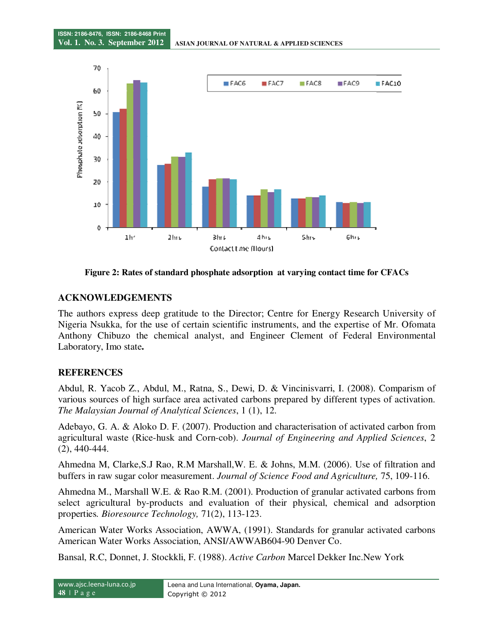

**Figure 2: Rates of standard phosphate adsorption at varying contact time for CFACs**

# **ACKNOWLEDGEMENTS**

The authors express deep gratitude to the Director; Centre for Energy Research University of Nigeria Nsukka, for the use of certain scientific instruments, and the expertise of Mr. Ofomata Anthony Chibuzo the chemical analyst, and Engineer Clement of Federal Environmental Laboratory, Imo state**.** 

# **REFERENCES**

Abdul, R. Yacob Z., Abdul, M., Ratna, S., Dewi, D. & Vincinisvarri, I. (2008). Comparism of various sources of high surface area activated carbons prepared by different types of activation. *The Malaysian Journal of Analytical Sciences*, 1 (1), 12.

Adebayo, G. A. & Aloko D. F. (2007). Production and characterisation of activated carbon from agricultural waste (Rice-husk and Corn-cob). *Journal of Engineering and Applied Sciences*, 2 (2), 440-444.

Ahmedna M, Clarke,S.J Rao, R.M Marshall,W. E. & Johns, M.M. (2006). Use of filtration and buffers in raw sugar color measurement. *Journal of Science Food and Agriculture,* 75, 109-116.

Ahmedna M., Marshall W.E. & Rao R.M. (2001). Production of granular activated carbons from select agricultural by-products and evaluation of their physical, chemical and adsorption properties*. Bioresource Technology,* 71(2), 113-123.

American Water Works Association, AWWA, (1991). Standards for granular activated carbons American Water Works Association, ANSI/AWWAB604-90 Denver Co.

Bansal, R.C, Donnet, J. Stockkli, F. (1988). *Active Carbon* Marcel Dekker Inc.New York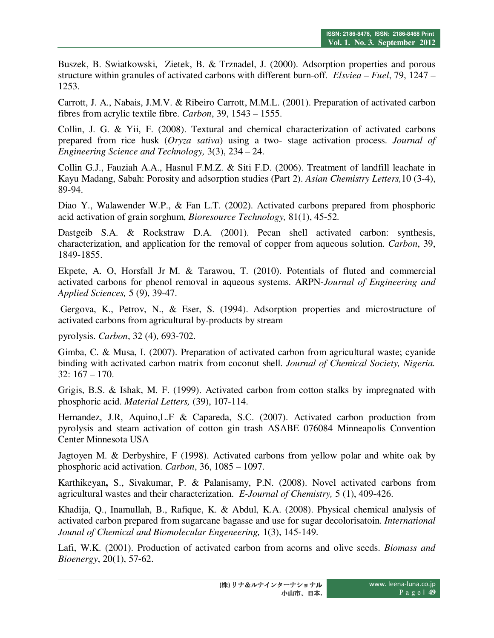Buszek, B. Swiatkowski, Zietek, B. & Trznadel, J. (2000). Adsorption properties and porous structure within granules of activated carbons with different burn-off. *Elsviea – Fuel*, 79, 1247 – 1253.

Carrott, J. A., Nabais, J.M.V. & Ribeiro Carrott, M.M.L. (2001). Preparation of activated carbon fibres from acrylic textile fibre. *Carbon*, 39, 1543 – 1555.

Collin, J. G. & Yii, F. (2008). Textural and chemical characterization of activated carbons prepared from rice husk (*Oryza sativa*) using a two- stage activation process. *Journal of Engineering Science and Technology,* 3(3), 234 – 24.

Collin G.J., Fauziah A.A., Hasnul F.M.Z. & Siti F.D. (2006). Treatment of landfill leachate in Kayu Madang, Sabah: Porosity and adsorption studies (Part 2). *Asian Chemistry Letters,*10 (3-4), 89-94.

Diao Y., Walawender W.P., & Fan L.T. (2002). Activated carbons prepared from phosphoric acid activation of grain sorghum, *Bioresource Technology,* 81(1), 45-52.

Dastgeib S.A. & Rockstraw D.A. (2001). Pecan shell activated carbon: synthesis, characterization, and application for the removal of copper from aqueous solution. *Carbon*, 39, 1849-1855.

Ekpete, A. O, Horsfall Jr M. & Tarawou, T. (2010). Potentials of fluted and commercial activated carbons for phenol removal in aqueous systems. ARPN-*Journal of Engineering and Applied Sciences,* 5 (9), 39-47.

 Gergova, K., Petrov, N., & Eser, S. (1994). Adsorption properties and microstructure of activated carbons from agricultural by-products by stream

pyrolysis. *Carbon*, 32 (4), 693-702.

Gimba, C. & Musa, I. (2007). Preparation of activated carbon from agricultural waste; cyanide binding with activated carbon matrix from coconut shell. *Journal of Chemical Society, Nigeria.* 32: 167 – 170.

Grigis, B.S. & Ishak, M. F. (1999). Activated carbon from cotton stalks by impregnated with phosphoric acid. *Material Letters,* (39), 107-114.

Hernandez, J.R, Aquino,L.F & Capareda, S.C. (2007). Activated carbon production from pyrolysis and steam activation of cotton gin trash ASABE 076084 Minneapolis Convention Center Minnesota USA

Jagtoyen M. & Derbyshire, F (1998). Activated carbons from yellow polar and white oak by phosphoric acid activation. *Carbon*, 36, 1085 – 1097.

Karthikeyan**,** S., Sivakumar, P. & Palanisamy, P.N. (2008). Novel activated carbons from agricultural wastes and their characterization. *E-Journal of Chemistry,* 5 (1), 409-426.

Khadija, Q., Inamullah, B., Rafique, K. & Abdul, K.A. (2008). Physical chemical analysis of activated carbon prepared from sugarcane bagasse and use for sugar decolorisatoin. *International Jounal of Chemical and Biomolecular Engeneering,* 1(3), 145-149.

Lafi, W.K. (2001). Production of activated carbon from acorns and olive seeds. *Biomass and Bioenergy*, 20(1), 57-62.